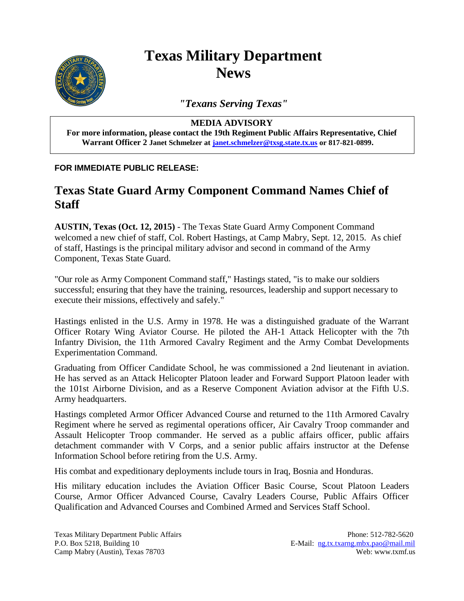

## **Texas Military Department News**

*"Texans Serving Texas"*

## **MEDIA ADVISORY**

**For more information, please contact the 19th Regiment Public Affairs Representative, Chief Warrant Officer 2 Janet Schmelzer at [janet.schmelzer@txsg.state.tx.us](mailto:janet.schmelzer@txsg.state.tx.us) or 817-821-0899.**

## **FOR IMMEDIATE PUBLIC RELEASE:**

## **Texas State Guard Army Component Command Names Chief of Staff**

**AUSTIN, Texas (Oct. 12, 2015)** - The Texas State Guard Army Component Command welcomed a new chief of staff, Col. Robert Hastings, at Camp Mabry, Sept. 12, 2015. As chief of staff, Hastings is the principal military advisor and second in command of the Army Component, Texas State Guard.

"Our role as Army Component Command staff," Hastings stated, "is to make our soldiers successful; ensuring that they have the training, resources, leadership and support necessary to execute their missions, effectively and safely."

Hastings enlisted in the U.S. Army in 1978. He was a distinguished graduate of the Warrant Officer Rotary Wing Aviator Course. He piloted the AH-1 Attack Helicopter with the 7th Infantry Division, the 11th Armored Cavalry Regiment and the Army Combat Developments Experimentation Command.

Graduating from Officer Candidate School, he was commissioned a 2nd lieutenant in aviation. He has served as an Attack Helicopter Platoon leader and Forward Support Platoon leader with the 101st Airborne Division, and as a Reserve Component Aviation advisor at the Fifth U.S. Army headquarters.

Hastings completed Armor Officer Advanced Course and returned to the 11th Armored Cavalry Regiment where he served as regimental operations officer, Air Cavalry Troop commander and Assault Helicopter Troop commander. He served as a public affairs officer, public affairs detachment commander with V Corps, and a senior public affairs instructor at the Defense Information School before retiring from the U.S. Army.

His combat and expeditionary deployments include tours in Iraq, Bosnia and Honduras.

His military education includes the Aviation Officer Basic Course, Scout Platoon Leaders Course, Armor Officer Advanced Course, Cavalry Leaders Course, Public Affairs Officer Qualification and Advanced Courses and Combined Armed and Services Staff School.